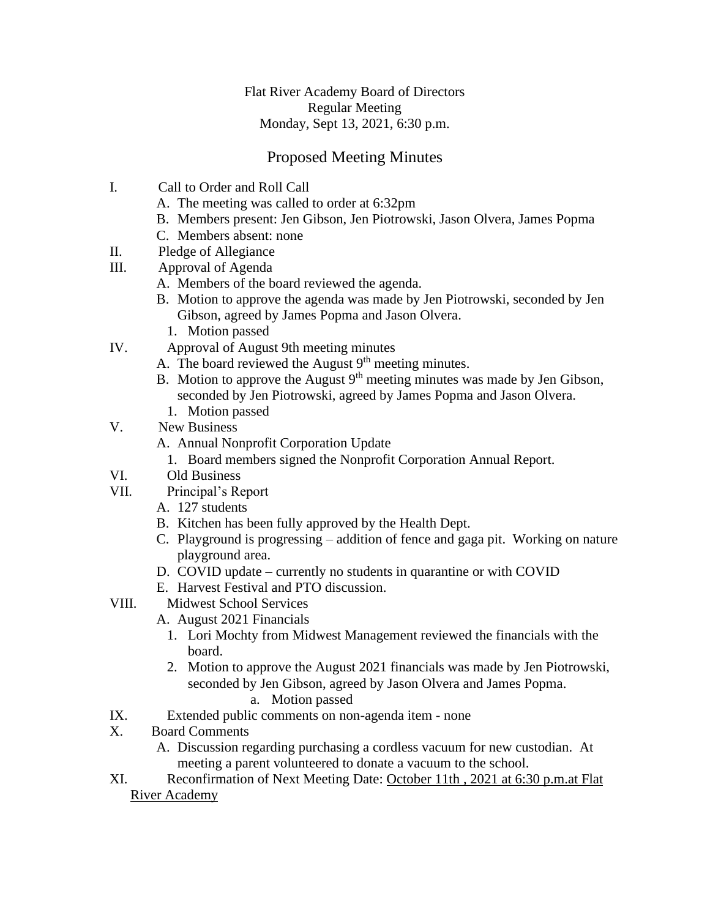## Flat River Academy Board of Directors Regular Meeting Monday, Sept 13, 2021, 6:30 p.m.

## Proposed Meeting Minutes

- I. Call to Order and Roll Call
	- A. The meeting was called to order at 6:32pm
	- B. Members present: Jen Gibson, Jen Piotrowski, Jason Olvera, James Popma
	- C. Members absent: none
- II. Pledge of Allegiance
- III. Approval of Agenda
	- A. Members of the board reviewed the agenda.
	- B. Motion to approve the agenda was made by Jen Piotrowski, seconded by Jen Gibson, agreed by James Popma and Jason Olvera.
		- 1. Motion passed
- IV. Approval of August 9th meeting minutes
	- A. The board reviewed the August  $9<sup>th</sup>$  meeting minutes.
	- B. Motion to approve the August 9<sup>th</sup> meeting minutes was made by Jen Gibson, seconded by Jen Piotrowski, agreed by James Popma and Jason Olvera.
		- 1. Motion passed
- V. New Business
	- A. Annual Nonprofit Corporation Update
		- 1. Board members signed the Nonprofit Corporation Annual Report.
- VI. Old Business
- VII. Principal's Report
	- A. 127 students
	- B. Kitchen has been fully approved by the Health Dept.
	- C. Playground is progressing addition of fence and gaga pit. Working on nature playground area.
	- D. COVID update currently no students in quarantine or with COVID
	- E. Harvest Festival and PTO discussion.
- VIII. Midwest School Services
	- A. August 2021 Financials
		- 1. Lori Mochty from Midwest Management reviewed the financials with the board.
		- 2. Motion to approve the August 2021 financials was made by Jen Piotrowski, seconded by Jen Gibson, agreed by Jason Olvera and James Popma.
			- a. Motion passed
- IX. Extended public comments on non-agenda item none
- X. Board Comments
	- A. Discussion regarding purchasing a cordless vacuum for new custodian. At meeting a parent volunteered to donate a vacuum to the school.
- XI. Reconfirmation of Next Meeting Date: October 11th , 2021 at 6:30 p.m.at Flat River Academy